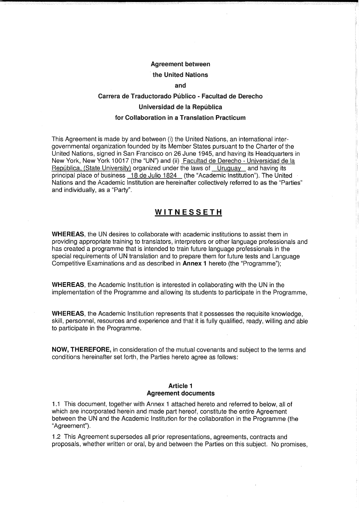## Agreement between

#### the United Nations

#### and

# Carrera de Traductorado Público - Facultad de Derecho Universidad de la Republica for Collaboration in a Translation Practicum

This Agreement is made by and between (i) the United Nations, an international intergovernmental organization founded by its Member States pursuant to the Charter of the United Nations, signed in San Francisco on 26 June 1945, and having its Headquarters in New York, New York 10017 (the "UN") and (ii) Facultad de Derecho - Universidad de la República, (State University) organized under the laws of Uruguay and having its principal place of business 18 de Julio 1824 (the "Academic Institution"). The United Nations and the Academic Institution are hereinafter collectively referred to as the "Parties" and individually, as a "Party".

## **WITNESSETH**

WHEREAS, the UN desires to collaborate with academic institutions to assist them in providing appropriate training to translators, interpreters or other language professionals and has created a programme that is intended to train future language professionals in the special requirements of UN translation and to prepare them for future tests and Language Competitive Examinations and as described in Annex I hereto (the "Programme");

WHEREAS, the Academic Institution is interested in collaborating with the UN in the implementation of the Programme and allowing its students to participate in the Programme,

WHEREAS, the Academic Institution represents that it possesses the requisite knowledge, skill, personnel, resources and experience and that it is fully qualified, ready, willing and able to participate in the Programme.

NOW, THEREFORE, in consideration of the mutual covenants and subject to the terms and conditions hereinafter set forth, the Parties hereto agree as follows:

#### Article 1 Agreement documents

1.1 This document, together with Annex 1 attached hereto and referred to below, all of which are incorporated herein and made part hereof, constitute the entire Agreement between the UN and the Academic Institution for the collaboration in the Programme (the "Agreement").

1.2 This Agreement supersedes all prior representations, agreements, contracts and proposals, whether written or oral, by and between the Parties on this subject. No promises,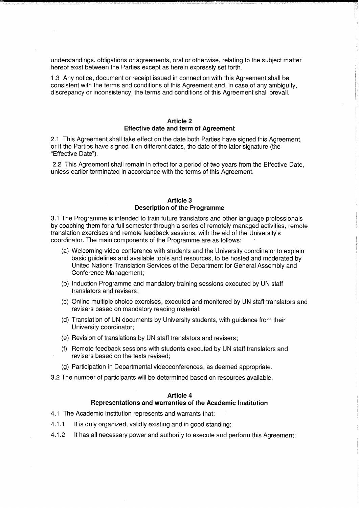understandings, obligations or agreements, oral or otherwise, relating to the subject matter hereof exist between the Parties except as herein expressly set forth.

1.3 Any notice, document or receipt issued in connection with this Agreement shall be consistent with the terms and conditions of this Agreement and, in case of any ambiguity, discrepancy or inconsistency, the terms and conditions of this Agreement shall prevail.

### Article 2 Effective date and term of Agreement

2.1 This Agreement shall take effect on the date both Parties have signed this Agreement, or if the Parties have signed it on different dates, the date of the later signature (the "Effective Date").

2.2 This Agreement shall remain in effect for a period of two years from the Effective Date, unless earlier terminated in accordance with the terms of this Agreement.

## Article 3 Description of the Programme

3.1 The Programme is intended to train future translators and other language professionals by coaching them for a full semester through a series of remotely managed activities, remote translation exercises and remote feedback sessions, with the aid of the University's coordinator. The main components of the Programme are as follows:

- (a) Welcoming video-conference with students and the University coordinator to explain basic guidelines and available tools and resources, to be hosted and moderated by United Nations Translation Services of the Department for General Assembly and Conference Management;
- (b) Induction Programme and mandatory training sessions executed by UN staff translators and revisers;
- (c) Online multiple choice exercises, executed and monitored by UN staff translators and revisers based on mandatory reading material;
- (d) Translation of UN documents by University students, with guidance from their University coordinator;
- (e) Revision of translations by UN staff translators and revisers;
- (f) Remote feedback sessions with students executed by UN staff translators and revisers based on the texts revised;
- (g) Participation in Departmental videoconferences, as deemed appropriate.
- 3.2 The number of participants will be determined based on resources available.

# Article 4

# Representations and warranties of the Academic Institution

- 4.1 The Academic Institution represents and warrants that:
- 4.1.1 It is duly organized, validly existing and in good standing;
- 4.1.2 It has all necessary power and authority to execute and perform this Agreement;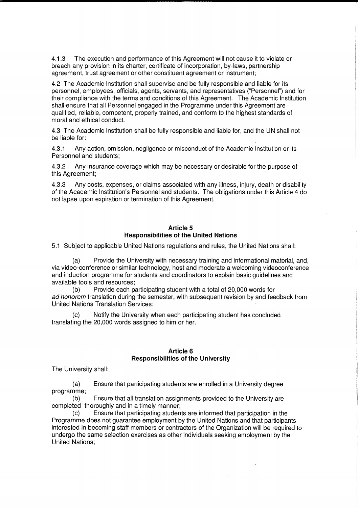4.1.3 The execution and performance of this Agreement will not cause it to violate or breach any provision in its charter, certificate of incorporation, by-laws, partnership agreement, trust agreement or other constituent agreement or instrument;

4.2 The Academic Institution shall supervise and be fully responsible and liable for its personnel, employees, officials, agents, servants, and representatives ("Personnel") and for their compliance with the terms and conditions of this Agreement. The Academic Institution shall ensure that all Personnel engaged in the Programme under this Agreement are qualified, reliable, competent, properly trained, and conform to the highest standards of moral and ethical conduct.

4.3 The Academic Institution shall be fully responsible and liable for, and the UN shall not be liable for:

4.3.1 Any action, omission, negligence or misconduct of the Academic Institution or its Personnel and students;

4.3.2 Any insurance coverage which may be necessary or desirable for the purpose of this Agreement;

4.3.3 Any costs, expenses, or claims associated with any illness, injury, death or disability of the Academic Institution's Personnel and students. The obligations under this Article 4 do not lapse upon expiration or termination of this Agreement.

## Article 5 Responsibilities of the United Nations

5.1 Subject to applicable United Nations regulations and rules, the United Nations shall:

(a) Provide the University with necessary training and informational material, and, via video-conference or similar technology, host and moderate a welcoming videoconference and induction programme for students and coordinators to explain basic guidelines and available tools and resources;

(b) Provide each participating student with a total of 20,000 words for ad honorem translation during the semester, with subsequent revision by and feedback from United Nations Translation Services;

(c) Notify the University when each participating student has concluded translating the 20,000 words assigned to him or her.

## Article 6 Responsibilities of the University

The University shall:

(a) Ensure that participating students are enrolled in a University degree programme;

(b) Ensure that all translation assignments provided to the University are completed thoroughly and in a timely manner;

(c) Ensure that participating students are informed that participation in the Programme does not guarantee employment by the United Nations and that participants interested in becoming staff members or contractors of the Organization will be required to undergo the same selection exercises as other individuals seeking employment by the United Nations;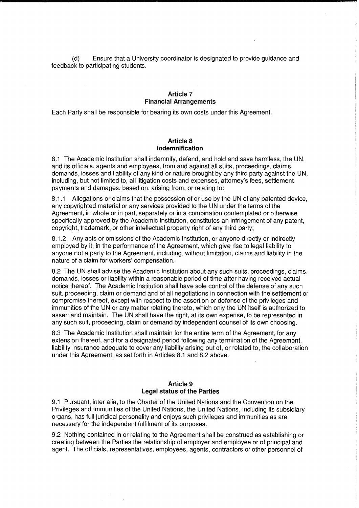(d) Ensure that a University coordinator is designated to provide guidance and feedback to participating students.

## Article 7 Financial Arrangements

Each Party shall be responsible for bearing its own costs under this Agreement.

#### Article 8 Indemnification

8.1 The Academic Institution shall indemnify, defend, and hold and save harmless, the UN, and its officials, agents and employees, from and against all suits, proceedings, claims, demands, losses and liability of any kind or nature brought by any third party against the UN, including, but not limited to, all litigation costs and expenses, attorney's fees, settlement payments and damages, based on, arising from, or relating to:

8.1.1 Allegations or claims that the possession of or use by the UN of any patented device, any copyrighted material or any services provided to the UN under the terms of the Agreement, in whole or in part, separately or in a combination contemplated or otherwise specifically approved by the Academic Institution, constitutes an infringement of any patent, copyright, trademark, or other intellectual property right of any third party;

8.1.2 Any acts or omissions of the Academic Institution, or anyone directly or indirectly employed by it, in the performance of the Agreement, which give rise to legal liability to anyone not a party to the Agreement, including, without limitation, claims and liability in the nature of a claim for workers' compensation.

8.2 The UN shall advise the Academic Institution about any such suits, proceedings, claims, demands, losses or liability within a reasonable period of time after having received actual notice thereof. The Academic Institution shall have sole control of the defense of any such suit, proceeding, claim or demand and of all negotiations in connection with the settlement or compromise thereof, except with respect to the assertion or defense of the privileges and immunities of the UN or any matter relating thereto, which only the UN itself is authorized to assert and maintain. The UN shall have the right, at its own expense, to be represented in any such suit, proceeding, claim or demand by independent counsel of its own choosing.

8.3 The Academic Institution shall maintain for the entire term of the Agreement, for any extension thereof, and for a designated period following any termination of the Agreement, liability insurance adequate to cover any liability arising out of, or related to, the collaboration under this Agreement, as set forth in Articles 8.1 and 8.2 above.

## Article 9 Legal status of the Parties

9.1 Pursuant, inter alia, to the Charter of the United Nations and the Convention on the Privileges and Immunities of the United Nations, the United Nations, including its subsidiary organs, has full juridical personality and enjoys such privileges and immunities as are necessary for the independent fulfilment of its purposes.

9.2 Nothing contained in or relating to the Agreement shall be construed as establishing or creating between the Parties the relationship of employer and employee or of principal and agent. The officials, representatives, employees, agents, contractors or other personnel of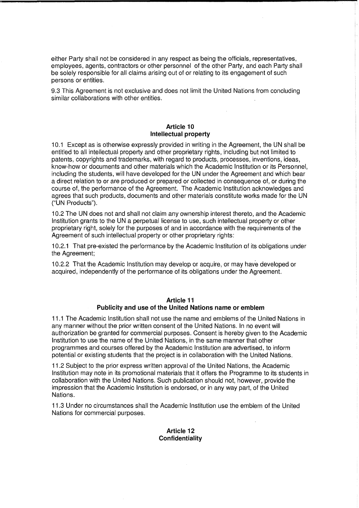either Party shall not be considered in any respect as being the officials, representatives, employees, agents, contractors or other personnel of the other Party, and each Party shall be solely responsible for all claims arising out of or relating to its engagement of such persons or entities.

9.3 This Agreement is not exclusive and does not limit the United Nations from concluding similar collaborations with other entities.

## Article 10 Intellectual property

10.1 Except as is otherwise expressly provided in writing in the Agreement, the UN shall be entitled to all intellectual property and other proprietary rights, including but not limited to patents, copyrights and trademarks, with regard to products, processes, inventions, ideas, know-how or documents and other materials which the Academic Institution or its Personnel, including the students, will have developed for the UN under the Agreement and which bear a direct relation to or are produced or prepared or collected in consequence of, or during the course of, the performance of the Agreement. The Academic Institution acknowledges and agrees that such products, documents and other materials constitute works made for the UN ("UN Products").

10.2 The UN does not and shall not claim any ownership interest thereto, and the Academic Institution grants to the UN a perpetual license to use, such intellectual property or other proprietary right, solely for the purposes of and in accordance with the requirements of the Agreement of such intellectual property or other proprietary rights:

10.2.1 That pre-existed the performance by the Academic Institution of its obligations under the Agreement;

10.2.2 That the Academic Institution may develop or acquire, or may have developed or acquired, independently of the performance of its obligations under the Agreement.

## Article 11 Publicity and use of the United Nations name or emblem

11.1 The Academic Institution shall not use the name and emblems of the United Nations in any manner without the prior written consent of the United Nations. In no event will authorization be granted for commercial purposes. Consent is hereby given to the Academic Institution to use the name of the United Nations, in the same manner that other programmes and courses offered by the Academic Institution are advertised, to inform potential or existing students that the project is in collaboration with the United Nations.

11.2 Subject to the prior express written approval of the United Nations, the Academic Institution may note in its promotional materials that it offers the Programme to its students in collaboration with the United Nations. Such publication should not, however, provide the impression that the Academic Institution is endorsed, or in any way part, of the United Nations.

11.3 Under no circumstances shall the Academic Institution use the emblem of the United Nations for commercial purposes.

## Article 12 **Confidentiality**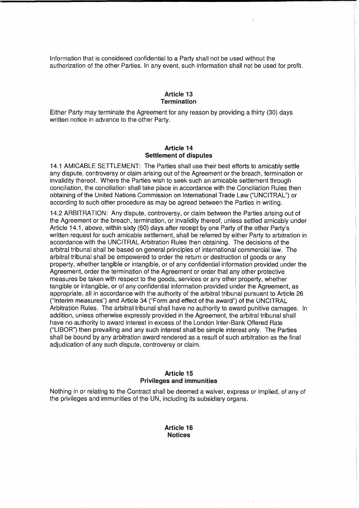Information that is considered confidential to a Party shall not be used without the authorization of the other Parties. In any event, such information shall not be used for profit.

## Article 13 **Termination**

Either Party may terminate the Agreement for any reason by providing a thirty (30) days written notice in advance to the other Party.

### Article 14 Settlement of disputes

14.1 AMICABLE SETTLEMENT: The Parties shall use their best efforts to amicably settle any dispute, controversy or claim arising out of the Agreement or the breach, termination or invalidity thereof. Where the Parties wish to seek such an amicable settlement through conciliation, the conciliation shall take place in accordance with the Conciliation Rules then obtaining of the United Nations Commission on International Trade Law ("UNCITRAL") or according to such other procedure as may be agreed between the Parties in writing.

14.2 ARBITRATION: Any dispute, controversy, or claim between the Parties arising out of the Agreement or the breach, termination, or invalidity thereof, unless settled amicably under Article 14.1, above, within sixty (60) days after receipt by one Party of the other Party's written request for such amicable settlement, shall be referred by either Party to arbitration in accordance with the UNCITRAL Arbitration Rules then obtaining. The decisions of the arbitral tribunal shall be based on general principles of international commercial law. The arbitral tribunal shall be empowered to order the return or destruction of goods or any property, whether tangible or intangible, or of any confidential information provided under the Agreement, order the termination of the Agreement or order that any other protective measures be taken with respect to the goods, services or any other property, whether tangible or intangible, or of any confidential information provided under the Agreement, as appropriate, all in accordance with the authority of the arbitral tribunal pursuant to Article 26 ("Interim measures") and Article 34 ("Form and effect of the award") of the UNCITRAL Arbitration Rules. The arbitral tribunal shall have no authority to award punitive damages. In addition, unless otherwise expressly provided in the Agreement, the arbitral tribunal shall have no authority to award interest in excess of the London Inter-Bank Offered Rate ("LIBOR") then prevailing and any such interest shall be simple interest only. The Parties shall be bound by any arbitration award rendered as a result of such arbitration as the final adjudication of any such dispute, controversy or claim.

## Article 15 Privileges and immunities

Nothing in or relating to the Contract shall be deemed a waiver, express or implied, of any of the privileges and immunities of the UN, including its subsidiary organs.

> Article 16 Notices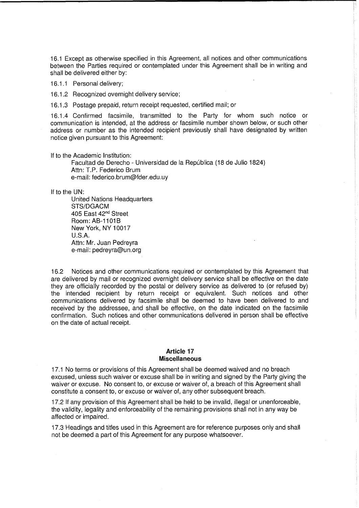16.1 Except as otherwise specified in this Agreement, all notices and other communications between the Parties required or contemplated under this Agreement shall be in writing and shall be delivered either by:

16.1.1 Personal delivery;

16.1.2 Recognized overnight delivery service;

16.1.3 Postage prepaid, return receipt requested, certified mail; or

16.1.4 Confirmed facsimile, transmitted to the Party for whom such notice or communication is intended, at the address or facsimile number shown below, or such other address or number as the intended recipient previously shall have designated by written notice given pursuant to this Agreement:

If to the Academic Institution:

Facultad de Derecho - Universidad de la República (18 de Julio 1824) Attn: T.P. Federico Brum e-mail: federico.brum@fder.edu.uy

If to the UN:

United Nations Headquarters STS/DGACM 405 East 42nd Street Room: AB-1101B New York, NY 10017 U.S.A. Attn: Mr. Juan Pedreyra e-mail: pedreyra@un.org

16.2 Notices and other communications required or contemplated by this Agreement that are delivered by mail or recognized overnight delivery service shall be effective on the date they are officially recorded by the postal or delivery service as delivered to (or refused by) the intended recipient by return receipt or equivalent. Such notices and other communications delivered by facsimile shall be deemed to have been delivered to and received by the addressee, and shall be effective, on the date indicated on the facsimile confirmation. Such notices and other communications delivered in person shall be effective on the date of actual receipt.

#### Article 17 Miscellaneous

17.1 No terms or provisions of this Agreement shall be deemed waived and no breach excused, unless such waiver or excuse shall be in writing and signed by the Party giving the waiver or excuse. No consent to, or excuse or waiver of, a breach of this Agreement shall constitute a consent to, or excuse or waiver of, any other subsequent breach.

17.2 If any provision of this Agreement shall be held to be invalid, illegal or unenforceable, the validity, legality and enforceability of the remaining provisions shall not in any way be affected or impaired.

17.3 Headings and titles used in this Agreement are for reference purposes only and shall not be deemed a part of this Agreement for any purpose whatsoever.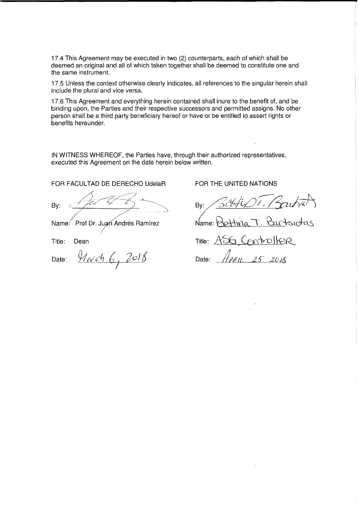17.4 This Agreement may be executed in two (2) counterparts, each of which shall be deemed an original and all of which taken together shall be deemed to constitute one and the same instrument.

17.5 Unless the context otherwise clearly indicates, all references to the singular herein shall include the plural and vice versa.

17.6 This Agreement and everything herein contained shall inure to the benefit of, and be binding upon, the Parties and their respective successors and permitted assigns. No other person shall be a third party beneficiary hereof or have or be entitled to assert rights or benefits hereunder.

IN WITNESS WHEREOF, the Parties have, through their authorized representatives, executed this Agreement on the date herein below written.

FOR FACULTAD DE DERECHO UdelaR

By:  $f(t)$ 

By:  $\frac{1}{2}$   $\frac{1}{2}$   $\frac{1}{2}$   $\frac{1}{2}$  Name: Prof Dr. Juan Andrés Ramírez<br>Title: Dean

Title:

Date: D ate:

the company<br>The Company of the Company of the Company of the Company of the Company of the Company of the Company of the <br>The Company of the Company of the Company of the Company of the Company of the Company of the Compan ./"

FOR THE UNITED NATIONS

Bv:

T. Bartsiotas  $N$ ame:

a Controller Title:  $\angle$